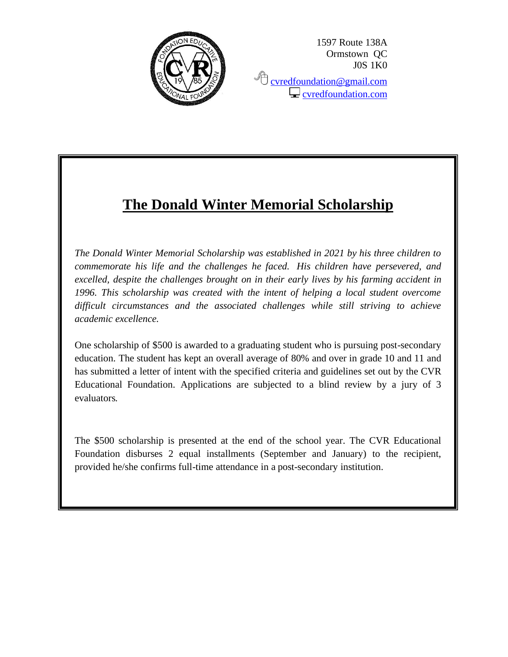

1597 Route 138A Ormstown QC J0S 1K0 <sup></sub><sup></sub> [cvredfoundation@gmail.com](mailto:cvredfoundation@gmail.com)</sup></sup>  $\Box$  [cvredfoundation.com](http://www.cvredfoundation.com/)

# **The Donald Winter Memorial Scholarship**

*The Donald Winter Memorial Scholarship was established in 2021 by his three children to commemorate his life and the challenges he faced. His children have persevered, and excelled, despite the challenges brought on in their early lives by his farming accident in 1996. This scholarship was created with the intent of helping a local student overcome difficult circumstances and the associated challenges while still striving to achieve academic excellence.*

One scholarship of \$500 is awarded to a graduating student who is pursuing post-secondary education. The student has kept an overall average of 80% and over in grade 10 and 11 and has submitted a letter of intent with the specified criteria and guidelines set out by the CVR Educational Foundation. Applications are subjected to a blind review by a jury of 3 evaluators*.*

The \$500 scholarship is presented at the end of the school year. The CVR Educational Foundation disburses 2 equal installments (September and January) to the recipient, provided he/she confirms full-time attendance in a post-secondary institution.